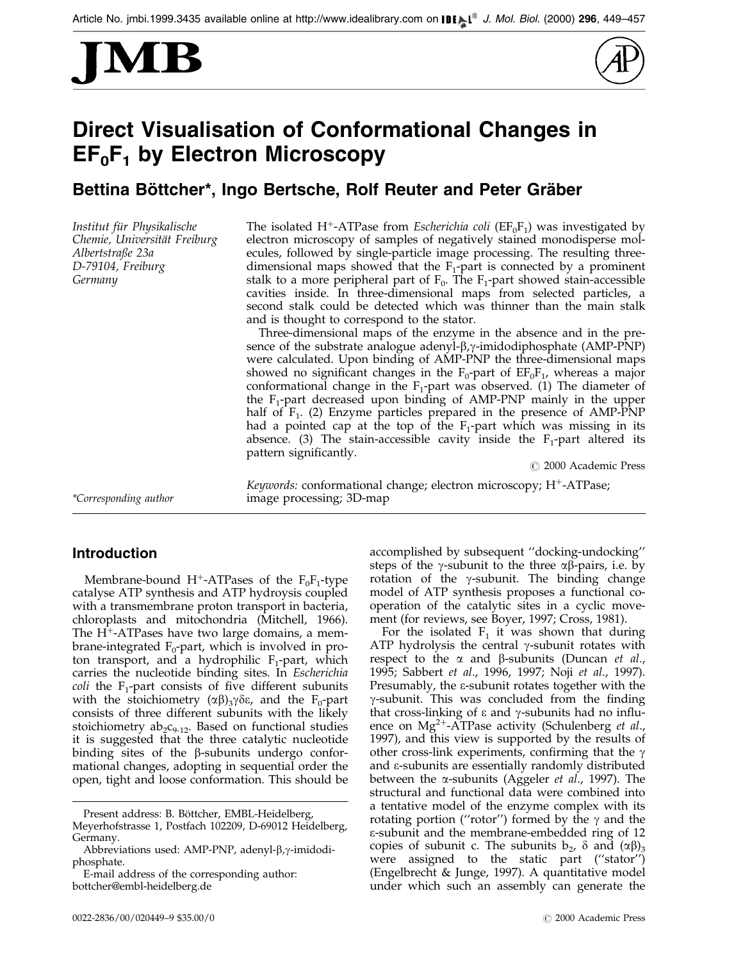



# Direct Visualisation of Conformational Changes in  $EF_0F_1$  by Electron Microscopy

# Bettina Böttcher\*, Ingo Bertsche, Rolf Reuter and Peter Gräber

Institut für Physikalische Chemie, Universität Freiburg Albertstraße 23a D-79104, Freiburg Germany

The isolated H<sup>+</sup>-ATPase from *Escherichia coli* ( $EF_0F_1$ ) was investigated by electron microscopy of samples of negatively stained monodisperse molecules, followed by single-particle image processing. The resulting threedimensional maps showed that the  $F_1$ -part is connected by a prominent stalk to a more peripheral part of  $F_0$ . The  $F_1$ -part showed stain-accessible cavities inside. In three-dimensional maps from selected particles, a second stalk could be detected which was thinner than the main stalk and is thought to correspond to the stator.

Three-dimensional maps of the enzyme in the absence and in the presence of the substrate analogue adenyl- $\beta$ , $\gamma$ -imidodiphosphate (AMP-PNP) were calculated. Upon binding of AMP-PNP the three-dimensional maps showed no significant changes in the  $F_0$ -part of  $EF_0F_1$ , whereas a major conformational change in the  $F_1$ -part was observed. (1) The diameter of the  $F_1$ -part decreased upon binding of AMP-PNP mainly in the upper half of  $F_1$ . (2) Enzyme particles prepared in the presence of AMP-PNP had a pointed cap at the top of the  $F_1$ -part which was missing in its absence. (3) The stain-accessible cavity inside the  $F_1$ -part altered its pattern significantly.

© 2000 Academic Press

## *Keywords:* conformational change; electron microscopy;  $H^+$ -ATPase; \*Corresponding author image processing; 3D-map

## Introduction

Membrane-bound H<sup>+</sup>-ATPases of the  $F_0F_1$ -type catalyse ATP synthesis and ATP hydroysis coupled with a transmembrane proton transport in bacteria, chloroplasts and mitochondria [\(Mitchell,](#page-8-0) 1966). The  $H^+$ -ATPases have two large domains, a membrane-integrated  $F_0$ -part, which is involved in proton transport, and a hydrophilic  $F_1$ -part, which carries the nucleotide binding sites. In Escherichia *coli* the  $F_1$ -part consists of five different subunits with the stoichiometry  $(\alpha \beta)_3 \gamma \delta \varepsilon$ , and the F<sub>0</sub>-part consists of three different subunits with the likely stoichiometry  $ab_2c_{9-12}$ . Based on functional studies it is suggested that the three catalytic nucleotide binding sites of the  $\beta$ -subunits undergo conformational changes, adopting in sequential order the open, tight and loose conformation. This should be accomplished by subsequent "docking-undocking" steps of the  $\gamma$ -subunit to the three  $\alpha\beta$ -pairs, i.e. by rotation of the  $\gamma$ -subunit. The binding change model of ATP synthesis proposes a functional cooperation of the catalytic sites in a cyclic movement (for reviews, see [Boyer, 19](#page-7-0)97[; Cross, 19](#page-7-0)81).

For the isolated  $F_1$  it was shown that during ATP hydrolysis the central  $\gamma$ -subunit rotates with respect to the  $\alpha$  and  $\beta$ -subunits [\(Duncan](#page-7-0) *et al.*, 1995; [Sabbert](#page-8-0) et al., 199[6, 1997; Noji](#page-8-0) et al., 1997). Presumably, the e-subunit rotates together with the  $\gamma$ -subunit. This was concluded from the finding that cross-linking of  $\varepsilon$  and  $\gamma$ -subunits had no influence on  $Mg^{2+}$ -ATPase activity [\(Schulenb](#page-8-0)erg *et al.*, 1997), and this view is supported by the results of other cross-link experiments, confirming that the  $\gamma$ and e-subunits are essentially randomly distributed between the  $\alpha$ -subunits [\(Aggeler](#page-7-0) et al., 1997). The structural and functional data were combined into a tentative model of the enzyme complex with its rotating portion ("rotor") formed by the  $\gamma$  and the e-subunit and the membrane-embedded ring of 12 copies of subunit c. The subunits  $b_2$ ,  $\delta$  and  $(\alpha\beta)_3$ were assigned to the static part ("stator") [\(Engelbre](#page-7-0)cht & Junge, 1997). A quantitative model under which such an assembly can generate the

Present address: B. Böttcher, EMBL-Heidelberg, Meyerhofstrasse 1, Postfach 102209, D-69012 Heidelberg, Germany.

Abbreviations used: AMP-PNP, adenyl- $\beta$ , $\gamma$ -imidodiphosphate.

E-mail address of the corresponding author: bottcher@embl-heidelberg.de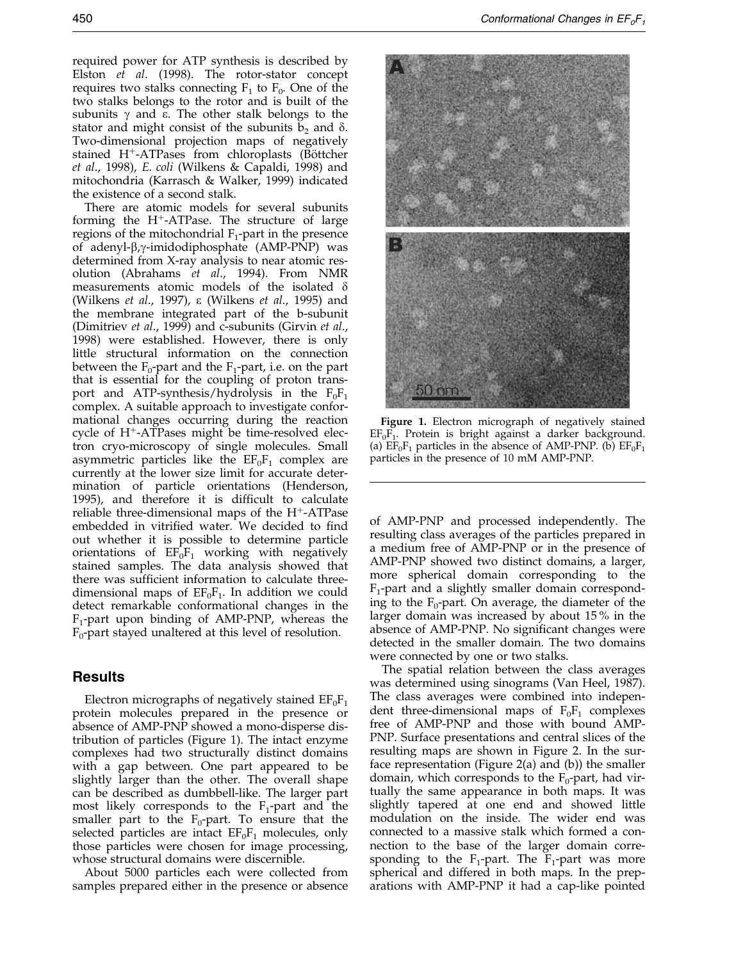required power for ATP synthesis is described by [Elston](#page-7-0) et al. (1998). The rotor-stator concept requires two stalks connecting  $F_1$  to  $F_0$ . One of the two stalks belongs to the rotor and is built of the subunits  $\gamma$  and  $\varepsilon$ . The other stalk belongs to the stator and might consist of the subunits  $b_2$  and  $\delta$ . Two-dimensional projection maps of negatively stained  $H^+$ -ATPases from chloroplasts (Böttcher et al., 1998), E. coli [\(Wilkens](#page-8-0) & Capaldi, 1998) and mitochondria [\(Karrasch](#page-8-0) & Walker, 1999) indicated the existence of a second stalk.

There are atomic models for several subunits forming the  $H^+$ -ATPase. The structure of large regions of the mitochondrial  $F_1$ -part in the presence of adenyl- $\beta$ , $\gamma$ -imidodiphosphate (AMP-PNP) was determined from X-ray analysis to near atomic resolution [\(Abraham](#page-7-0)s et al., 1994). From NMR measurements atomic models of the isolated  $\delta$ (Wilkens et al., 1997), e [\(Wilkens](#page-8-0) et al., 1995) and the membrane integrated part of the b-subunit [\(Dimitriev](#page-7-0) et al., 1999) and c-subunits [\(Girvin](#page-8-0) et al., 1998) were established. However, there is only little structural information on the connection between the  $F_0$ -part and the  $F_1$ -part, i.e. on the part that is essential for the coupling of proton transport and ATP-synthesis/hydrolysis in the  $F_0F_1$ complex. A suitable approach to investigate conformational changes occurring during the reaction cycle of  $H^+$ -ATPases might be time-resolved electron cryo-microscopy of single molecules. Small asymmetric particles like the  $EF_0F_1$  complex are currently at the lower size limit for accurate determination of particle orientations [\(Henders](#page-8-0)on, 1995), and therefore it is difficult to calculate reliable three-dimensional maps of the  $H^+$ -ATPase embedded in vitrified water. We decided to find out whether it is possible to determine particle orientations of  $EF_0F_1$  working with negatively stained samples. The data analysis showed that there was sufficient information to calculate threedimensional maps of  $EF_0F_1$ . In addition we could detect remarkable conformational changes in the  $F_1$ -part upon binding of AMP-PNP, whereas the  $F_0$ -part stayed unaltered at this level of resolution.

#### Results

Electron micrographs of negatively stained  $EF_0F_1$ protein molecules prepared in the presence or absence of AMP-PNP showed a mono-disperse distribution of particles (Figure 1). The intact enzyme complexes had two structurally distinct domains with a gap between. One part appeared to be slightly larger than the other. The overall shape can be described as dumbbell-like. The larger part most likely corresponds to the  $F_1$ -part and the smaller part to the  $F_0$ -part. To ensure that the selected particles are intact  $EF_0F_1$  molecules, only those particles were chosen for image processing, whose structural domains were discernible.

About 5000 particles each were collected from samples prepared either in the presence or absence



Figure 1. Electron micrograph of negatively stained  $EF_0F_1$ . Protein is bright against a darker background. (a)  $EF_0F_1$  particles in the absence of AMP-PNP. (b)  $EF_0F_1$ particles in the presence of 10 mM AMP-PNP.

of AMP-PNP and processed independently. The resulting class averages of the particles prepared in a medium free of AMP-PNP or in the presence of AMP-PNP showed two distinct domains, a larger, more spherical domain corresponding to the  $F_1$ -part and a slightly smaller domain corresponding to the  $F_0$ -part. On average, the diameter of the larger domain was increased by about 15 % in the absence of AMP-PNP. No significant changes were detected in the smaller domain. The two domains were connected by one or two stalks.

The spatial relation between the class averages was determined using sinograms [\(Van Hee](#page-8-0)l, 1987). The class averages were combined into independent three-dimensional maps of  $F_0F_1$  complexes free of AMP-PNP and those with bound AMP-PNP. Surface presentations and central slices of the resulting maps are shown in Figure 2. In the surface representation (Figure 2(a) and (b)) the smaller domain, which corresponds to the  $F_0$ -part, had virtually the same appearance in both maps. It was slightly tapered at one end and showed little modulation on the inside. The wider end was connected to a massive stalk which formed a connection to the base of the larger domain corresponding to the  $F_1$ -part. The  $F_1$ -part was more spherical and differed in both maps. In the preparations with AMP-PNP it had a cap-like pointed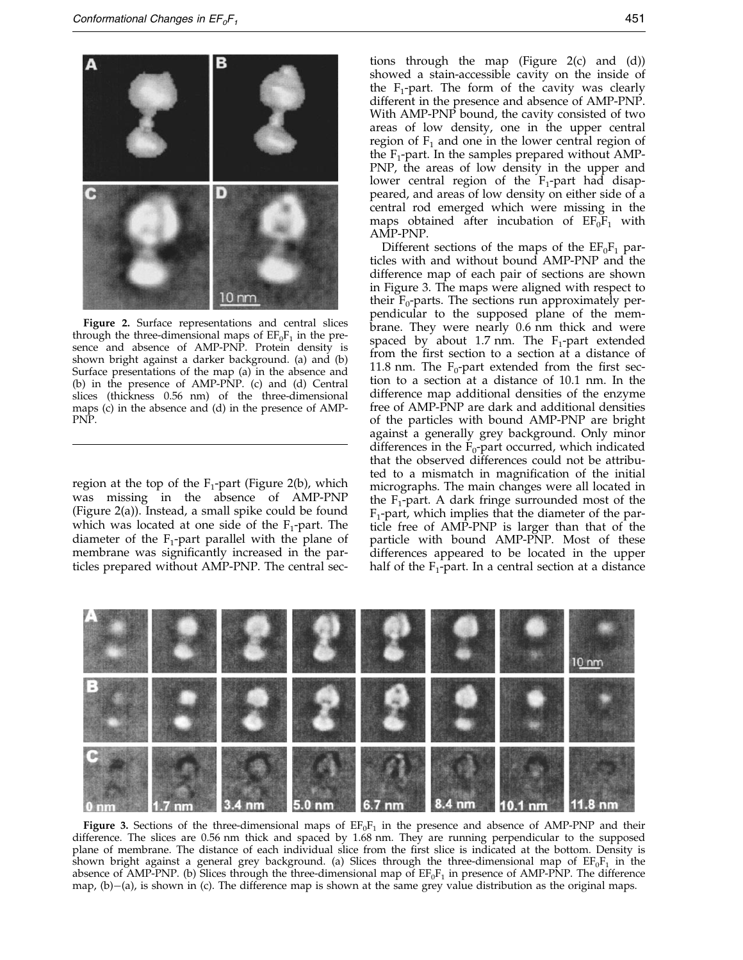

Figure 2. Surface representations and central slices through the three-dimensional maps of  $EF_0F_1$  in the presence and absence of AMP-PNP. Protein density is shown bright against a darker background. (a) and (b) Surface presentations of the map (a) in the absence and (b) in the presence of AMP-PNP. (c) and (d) Central slices (thickness 0.56 nm) of the three-dimensional maps (c) in the absence and (d) in the presence of AMP-PNP.

region at the top of the  $F_1$ -part (Figure 2(b), which was missing in the absence of AMP-PNP (Figure 2(a)). Instead, a small spike could be found which was located at one side of the  $F_1$ -part. The diameter of the  $F_1$ -part parallel with the plane of membrane was significantly increased in the particles prepared without AMP-PNP. The central sec-

tions through the map (Figure 2(c) and (d)) showed a stain-accessible cavity on the inside of the  $F_1$ -part. The form of the cavity was clearly different in the presence and absence of AMP-PNP. With AMP-PNP bound, the cavity consisted of two areas of low density, one in the upper central region of  $F_1$  and one in the lower central region of the  $F_1$ -part. In the samples prepared without AMP-PNP, the areas of low density in the upper and lower central region of the  $F_1$ -part had disappeared, and areas of low density on either side of a central rod emerged which were missing in the maps obtained after incubation of  $EF_0F_1$  with AMP-PNP.

Different sections of the maps of the  $EF_0F_1$  particles with and without bound AMP-PNP and the difference map of each pair of sections are shown in Figure 3. The maps were aligned with respect to their  $F_0$ -parts. The sections run approximately perpendicular to the supposed plane of the membrane. They were nearly 0.6 nm thick and were spaced by about 1.7 nm. The  $F_1$ -part extended from the first section to a section at a distance of 11.8 nm. The  $F_0$ -part extended from the first section to a section at a distance of 10.1 nm. In the difference map additional densities of the enzyme free of AMP-PNP are dark and additional densities of the particles with bound AMP-PNP are bright against a generally grey background. Only minor differences in the  $F_0$ -part occurred, which indicated that the observed differences could not be attributed to a mismatch in magnification of the initial micrographs. The main changes were all located in the  $F_1$ -part. A dark fringe surrounded most of the  $F_1$ -part, which implies that the diameter of the particle free of AMP-PNP is larger than that of the particle with bound AMP-PNP. Most of these differences appeared to be located in the upper half of the  $F_1$ -part. In a central section at a distance



Figure 3. Sections of the three-dimensional maps of  $EF_0F_1$  in the presence and absence of AMP-PNP and their difference. The slices are 0.56 nm thick and spaced by 1.68 nm. They are running perpendicular to the supposed plane of membrane. The distance of each individual slice from the first slice is indicated at the bottom. Density is shown bright against a general grey background. (a) Slices through the three-dimensional map of  $E F_0 F_1$  in the absence of AMP-PNP. (b) Slices through the three-dimensional map of  $EF_0F_1$  in presence of AMP-PNP. The difference map,  $(b)$  $-(a)$ , is shown in (c). The difference map is shown at the same grey value distribution as the original maps.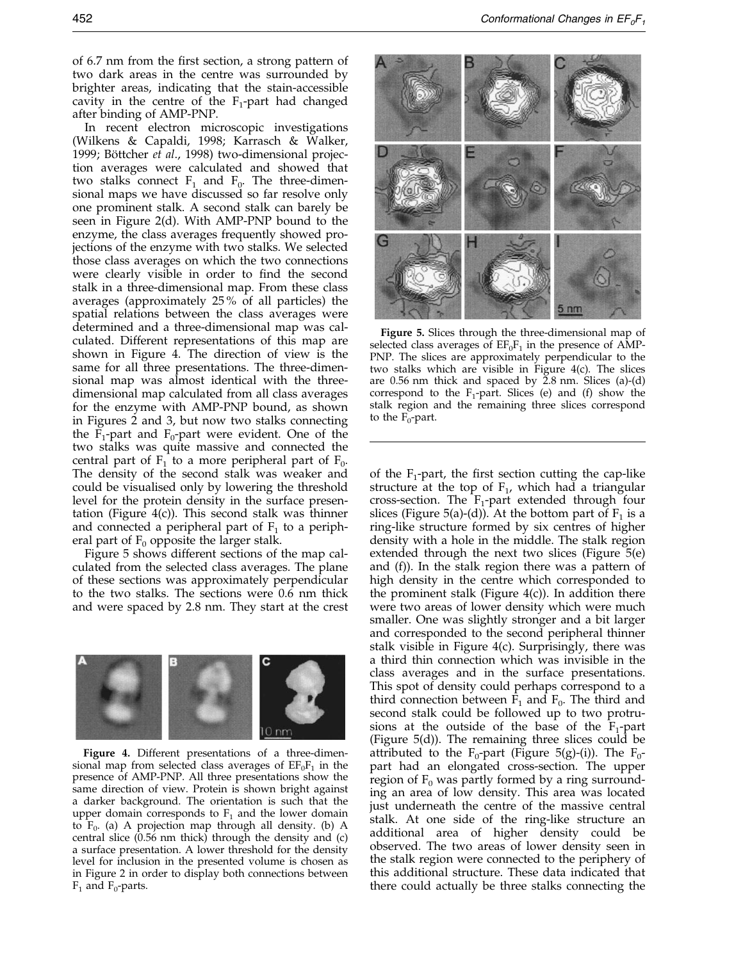In recent electron microscopic investigations [\(Wilkens](#page-8-0) & Capaldi, 1998; [Karrasch](#page-8-0) & Walker, 1999; Böttcher et al., 1998) two-dimensional projection averages were calculated and showed that two stalks connect  $F_1$  and  $F_0$ . The three-dimensional maps we have discussed so far resolve only one prominent stalk. A second stalk can barely be seen in Figure 2(d). With AMP-PNP bound to the enzyme, the class averages frequently showed projections of the enzyme with two stalks. We selected those class averages on which the two connections were clearly visible in order to find the second stalk in a three-dimensional map. From these class averages (approximately 25 % of all particles) the spatial relations between the class averages were determined and a three-dimensional map was calculated. Different representations of this map are shown in Figure 4. The direction of view is the same for all three presentations. The three-dimensional map was almost identical with the threedimensional map calculated from all class averages for the enzyme with AMP-PNP bound, as shown in Figures 2 and 3, but now two stalks connecting the  $F_1$ -part and  $F_0$ -part were evident. One of the two stalks was quite massive and connected the central part of  $F_1$  to a more peripheral part of  $F_0$ . The density of the second stalk was weaker and could be visualised only by lowering the threshold level for the protein density in the surface presentation (Figure  $4(c)$ ). This second stalk was thinner and connected a peripheral part of  $F_1$  to a peripheral part of  $F_0$  opposite the larger stalk.

Figure 5 shows different sections of the map calculated from the selected class averages. The plane of these sections was approximately perpendicular to the two stalks. The sections were 0.6 nm thick and were spaced by 2.8 nm. They start at the crest



Figure 4. Different presentations of a three-dimensional map from selected class averages of  $EF_0F_1$  in the presence of AMP-PNP. All three presentations show the same direction of view. Protein is shown bright against a darker background. The orientation is such that the upper domain corresponds to  $F_1$  and the lower domain to  $F_0$ . (a) A projection map through all density. (b) A central slice  $(0.56 \text{ nm}$  thick) through the density and  $(c)$ a surface presentation. A lower threshold for the density level for inclusion in the presented volume is chosen as in Figure 2 in order to display both connections between  $F_1$  and  $F_0$ -parts.



Figure 5. Slices through the three-dimensional map of selected class averages of  $EF_0F_1$  in the presence of AMP-PNP. The slices are approximately perpendicular to the two stalks which are visible in Figure 4(c). The slices are  $0.56$  nm thick and spaced by  $\tilde{2}.\overline{8}$  nm. Slices (a)-(d) correspond to the  $F_1$ -part. Slices (e) and (f) show the stalk region and the remaining three slices correspond to the  $F_0$ -part.

of the  $F_1$ -part, the first section cutting the cap-like structure at the top of  $F_1$ , which had a triangular cross-section. The  $F_1$ -part extended through four slices (Figure 5(a)-(d)). At the bottom part of  $F_1$  is a ring-like structure formed by six centres of higher density with a hole in the middle. The stalk region extended through the next two slices (Figure 5(e) and (f)). In the stalk region there was a pattern of high density in the centre which corresponded to the prominent stalk (Figure  $4(c)$ ). In addition there were two areas of lower density which were much smaller. One was slightly stronger and a bit larger and corresponded to the second peripheral thinner stalk visible in Figure 4(c). Surprisingly, there was a third thin connection which was invisible in the class averages and in the surface presentations. This spot of density could perhaps correspond to a third connection between  $F_1$  and  $F_0$ . The third and second stalk could be followed up to two protrusions at the outside of the base of the  $F_1$ -part (Figure 5(d)). The remaining three slices could be attributed to the  $F_0$ -part (Figure 5(g)-(i)). The  $F_0$ part had an elongated cross-section. The upper region of  $F_0$  was partly formed by a ring surrounding an area of low density. This area was located just underneath the centre of the massive central stalk. At one side of the ring-like structure an additional area of higher density could be observed. The two areas of lower density seen in the stalk region were connected to the periphery of this additional structure. These data indicated that there could actually be three stalks connecting the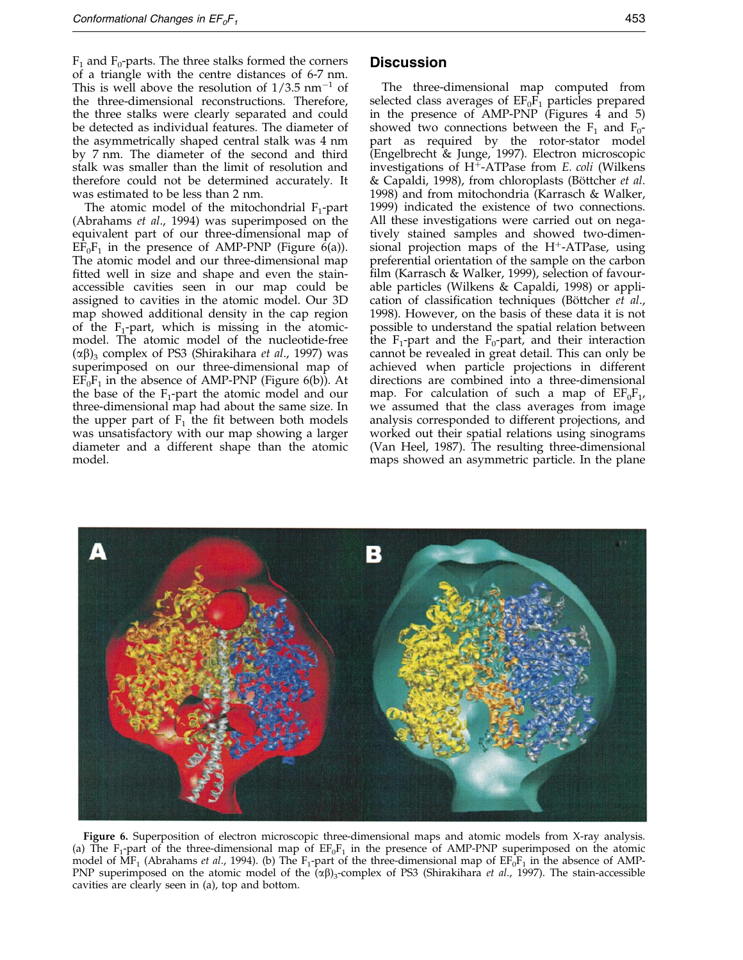$F_1$  and  $F_0$ -parts. The three stalks formed the corners of a triangle with the centre distances of 6-7 nm. This is well above the resolution of  $1/3.5$  nm<sup>-1</sup> of the three-dimensional reconstructions. Therefore, the three stalks were clearly separated and could be detected as individual features. The diameter of the asymmetrically shaped central stalk was 4 nm by 7 nm. The diameter of the second and third stalk was smaller than the limit of resolution and therefore could not be determined accurately. It was estimated to be less than 2 nm.

The atomic model of the mitochondrial  $F_1$ -part [\(Abraham](#page-7-0)s et al., 1994) was superimposed on the equivalent part of our three-dimensional map of  $E\tilde{F}_0F_1$  in the presence of AMP-PNP (Figure 6(a)). The atomic model and our three-dimensional map fitted well in size and shape and even the stainaccessible cavities seen in our map could be assigned to cavities in the atomic model. Our 3D map showed additional density in the cap region of the  $F_1$ -part, which is missing in the atomicmodel. The atomic model of the nucleotide-free  $(\alpha\beta)_3$  complex of PS3 [\(Shirakiha](#page-8-0)ra *et al.*, 1997) was superimposed on our three-dimensional map of  $EF_0F_1$  in the absence of AMP-PNP (Figure 6(b)). At the base of the  $F_1$ -part the atomic model and our three-dimensional map had about the same size. In the upper part of  $F_1$  the fit between both models was unsatisfactory with our map showing a larger diameter and a different shape than the atomic model.

#### **Discussion**

The three-dimensional map computed from selected class averages of  $\text{EF}_0\text{F}_1$  particles prepared in the presence of AMP-PNP (Figures 4 and 5) showed two connections between the  $F_1$  and  $F_0$ part as required by the rotor-stator model [\(Engelbre](#page-7-0)cht & Junge, 1997). Electron microscopic investigations of  $H^+$ -ATPase from E. coli [\(Wilkens](#page-8-0) & Capaldi, 1998), from chloroplasts (Böttcher et al. 1998) and from mitochondria [\(Karrasch](#page-8-0) & Walker, 1999) indicated the existence of two connections. All these investigations were carried out on negatively stained samples and showed two-dimensional projection maps of the  $H^+$ -ATPase, using preferential orientation of the sample on the carbon film [\(Karrasch](#page-8-0) & Walker, 1999), selection of favourable particles [\(Wilkens](#page-8-0) & Capaldi, 1998) or application of classification techniques (Böttcher et al., 1998). However, on the basis of these data it is not possible to understand the spatial relation between the  $F_1$ -part and the  $F_0$ -part, and their interaction cannot be revealed in great detail. This can only be achieved when particle projections in different directions are combined into a three-dimensional map. For calculation of such a map of  $EF_0F_1$ , we assumed that the class averages from image analysis corresponded to different projections, and worked out their spatial relations using sinograms [\(Van Hee](#page-8-0)l, 1987). The resulting three-dimensional maps showed an asymmetric particle. In the plane



Figure 6. Superposition of electron microscopic three-dimensional maps and atomic models from X-ray analysis. (a) The  $F_1$ -part of the three-dimensional map of  $EF_0F_1$  in the presence of AMP-PNP superimposed on the atomic model of  $\hat{\text{MF}}_1$  [\(Abrahams](#page-7-0) *et al.,* 1994). (b) The F<sub>1</sub>-part of the three-dimensional map of  $\text{EF}_0\text{F}_1$  in the absence of AMP-PNP superimposed on the atomic model of the  $\overline{(\alpha\beta)}_3$ -complex of PS3 [\(Shirakiha](#page-8-0)ra et al., 1997). The stain-accessible cavities are clearly seen in (a), top and bottom.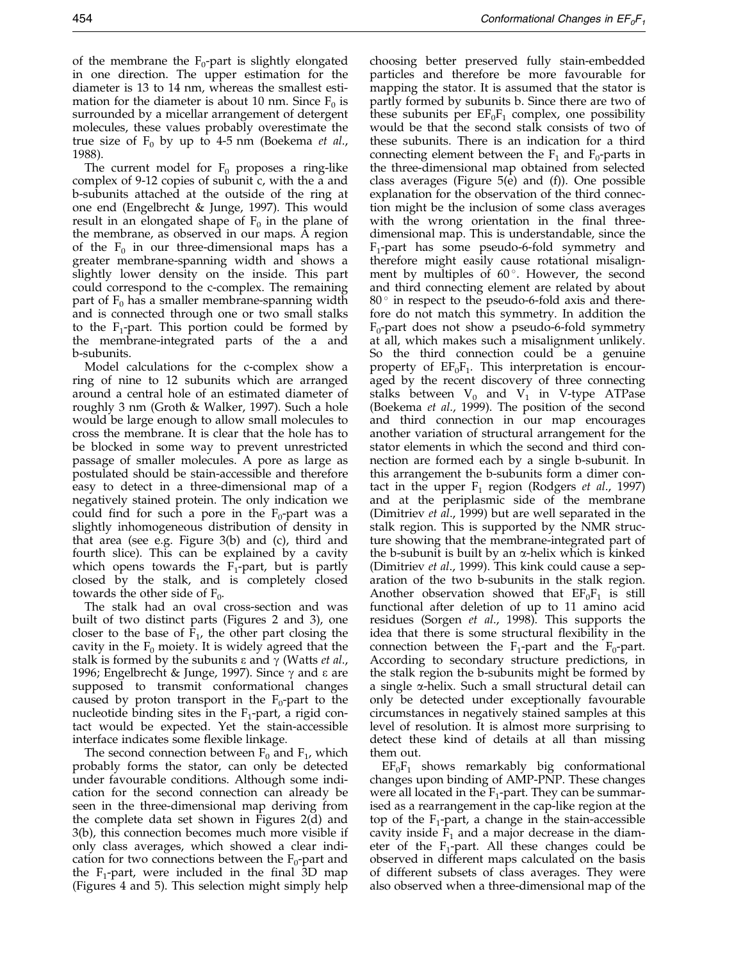of the membrane the  $F_0$ -part is slightly elongated in one direction. The upper estimation for the diameter is 13 to 14 nm, whereas the smallest estimation for the diameter is about 10 nm. Since  $F_0$  is surrounded by a micellar arrangement of detergent molecules, these values probably overestimate the true size of  $F_0$  by up to 4-5 nm [\(Boekema](#page-7-0) *et al.*, 1988).

The current model for  $F_0$  proposes a ring-like complex of 9-12 copies of subunit c, with the a and b-subunits attached at the outside of the ring at one end [\(Engelbre](#page-7-0)cht & Junge, 1997). This would result in an elongated shape of  $F_0$  in the plane of the membrane, as observed in our maps. A region of the  $F_0$  in our three-dimensional maps has a greater membrane-spanning width and shows a slightly lower density on the inside. This part could correspond to the c-complex. The remaining part of  $F_0$  has a smaller membrane-spanning width and is connected through one or two small stalks to the  $F_1$ -part. This portion could be formed by the membrane-integrated parts of the a and b-subunits.

Model calculations for the c-complex show a ring of nine to 12 subunits which are arranged around a central hole of an estimated diameter of roughly 3 nm [\(Groth &](#page-8-0) Walker, 1997). Such a hole would be large enough to allow small molecules to cross the membrane. It is clear that the hole has to be blocked in some way to prevent unrestricted passage of smaller molecules. A pore as large as postulated should be stain-accessible and therefore easy to detect in a three-dimensional map of a negatively stained protein. The only indication we could find for such a pore in the  $F_0$ -part was a slightly inhomogeneous distribution of density in that area (see e.g. Figure 3(b) and (c), third and fourth slice). This can be explained by a cavity which opens towards the  $F_1$ -part, but is partly closed by the stalk, and is completely closed towards the other side of  $F_0$ .

The stalk had an oval cross-section and was built of two distinct parts (Figures 2 and 3), one closer to the base of  $F_1$ , the other part closing the cavity in the  $F_0$  moiety. It is widely agreed that the stalk is formed by the subunits  $\varepsilon$  and  $\gamma$  [\(Watts](#page-8-0) *et al.*, 1996; [Engelbre](#page-7-0)cht & Junge, 1997). Since  $\gamma$  and  $\varepsilon$  are supposed to transmit conformational changes caused by proton transport in the  $F_0$ -part to the nucleotide binding sites in the  $F_1$ -part, a rigid contact would be expected. Yet the stain-accessible interface indicates some flexible linkage.

The second connection between  $F_0$  and  $F_1$ , which probably forms the stator, can only be detected under favourable conditions. Although some indication for the second connection can already be seen in the three-dimensional map deriving from the complete data set shown in Figures 2(d) and 3(b), this connection becomes much more visible if only class averages, which showed a clear indication for two connections between the  $F_0$ -part and the  $F_1$ -part, were included in the final 3D map (Figures 4 and 5). This selection might simply help choosing better preserved fully stain-embedded particles and therefore be more favourable for mapping the stator. It is assumed that the stator is partly formed by subunits b. Since there are two of these subunits per  $EF_0F_1$  complex, one possibility would be that the second stalk consists of two of these subunits. There is an indication for a third connecting element between the  $F_1$  and  $F_0$ -parts in the three-dimensional map obtained from selected class averages (Figure 5(e) and (f)). One possible explanation for the observation of the third connection might be the inclusion of some class averages with the wrong orientation in the final threedimensional map. This is understandable, since the  $F_1$ -part has some pseudo-6-fold symmetry and therefore might easily cause rotational misalignment by multiples of  $60^\circ$ . However, the second and third connecting element are related by about  $80^\circ$  in respect to the pseudo-6-fold axis and therefore do not match this symmetry. In addition the  $F_0$ -part does not show a pseudo-6-fold symmetry at all, which makes such a misalignment unlikely. So the third connection could be a genuine property of  $EF_0F_1$ . This interpretation is encouraged by the recent discovery of three connecting stalks between  $V_0$  and  $V_1$  in V-type ATPase [\(Boekema](#page-7-0) et al., 1999). The position of the second and third connection in our map encourages another variation of structural arrangement for the stator elements in which the second and third connection are formed each by a single b-subunit. In this arrangement the b-subunits form a dimer contact in the upper  $F_1$  region [\(Rodgers](#page-8-0) *et al.*, 1997) and at the periplasmic side of the membrane (Dimitriev et al., 1999) but are well separated in the stalk region. This is supported by the NMR structure showing that the membrane-integrated part of the b-subunit is built by an  $\alpha$ -helix which is kinked [\(Dimitriev](#page-7-0) et al., 1999). This kink could cause a separation of the two b-subunits in the stalk region. Another observation showed that  $EF_0F_1$  is still functional after deletion of up to 11 amino acid residues [\(Sorgen](#page-8-0) et al., 1998). This supports the idea that there is some structural flexibility in the connection between the  $F_1$ -part and the  $F_0$ -part. According to secondary structure predictions, in the stalk region the b-subunits might be formed by a single a-helix. Such a small structural detail can only be detected under exceptionally favourable circumstances in negatively stained samples at this level of resolution. It is almost more surprising to detect these kind of details at all than missing them out.

 $EF_0F_1$  shows remarkably big conformational changes upon binding of AMP-PNP. These changes were all located in the  $F_1$ -part. They can be summarised as a rearrangement in the cap-like region at the top of the  $F_1$ -part, a change in the stain-accessible cavity inside  $\bar{F}_1$  and a major decrease in the diameter of the  $F_1$ -part. All these changes could be observed in different maps calculated on the basis of different subsets of class averages. They were also observed when a three-dimensional map of the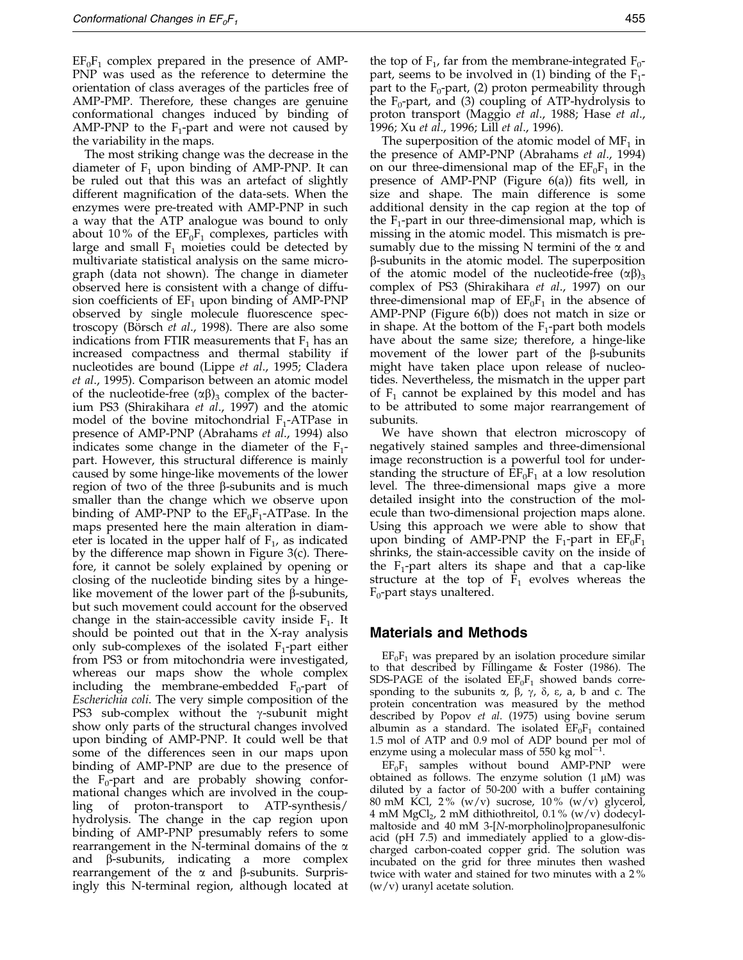$EF_0F_1$  complex prepared in the presence of AMP-PNP was used as the reference to determine the orientation of class averages of the particles free of AMP-PMP. Therefore, these changes are genuine conformational changes induced by binding of AMP-PNP to the  $F_1$ -part and were not caused by the variability in the maps.

The most striking change was the decrease in the diameter of  $F_1$  upon binding of AMP-PNP. It can be ruled out that this was an artefact of slightly different magnification of the data-sets. When the enzymes were pre-treated with AMP-PNP in such a way that the ATP analogue was bound to only about 10% of the  $EF_0F_1$  complexes, particles with large and small  $F_1$  moieties could be detected by multivariate statistical analysis on the same micrograph (data not shown). The change in diameter observed here is consistent with a change of diffusion coefficients of  $EF_1$  upon binding of AMP-PNP observed by single molecule fluorescence spectroscopy (Börsch et al., 1998). There are also some indications from FTIR measurements that  $F_1$  has an increased compactness and thermal stability if nucleotides are bound [\(Lippe](#page-8-0) et al., 1995; [Cladera](#page-7-0) et al., 1995). Comparison between an atomic model of the nucleotide-free  $(\alpha\beta)_3$  complex of the bacterium PS3 [\(Shirakiha](#page-8-0)ra et al., 1997) and the atomic model of the bovine mitochondrial  $F_1$ -ATPase in presence of AMP-PNP [\(Abraham](#page-7-0)s et al., 1994) also indicates some change in the diameter of the  $F_1$ part. However, this structural difference is mainly caused by some hinge-like movements of the lower region of two of the three  $\beta$ -subunits and is much smaller than the change which we observe upon binding of AMP-PNP to the  $EF_0F_1$ -ATPase. In the maps presented here the main alteration in diameter is located in the upper half of  $F_1$ , as indicated by the difference map shown in Figure 3(c). Therefore, it cannot be solely explained by opening or closing of the nucleotide binding sites by a hingelike movement of the lower part of the  $\beta$ -subunits, but such movement could account for the observed change in the stain-accessible cavity inside  $F_1$ . It should be pointed out that in the X-ray analysis only sub-complexes of the isolated  $F_1$ -part either from PS3 or from mitochondria were investigated, whereas our maps show the whole complex including the membrane-embedded  $F_0$ -part of Escherichia coli. The very simple composition of the PS3 sub-complex without the  $\gamma$ -subunit might show only parts of the structural changes involved upon binding of AMP-PNP. It could well be that some of the differences seen in our maps upon binding of AMP-PNP are due to the presence of the  $F_0$ -part and are probably showing conformational changes which are involved in the coupling of proton-transport to ATP-synthesis/ hydrolysis. The change in the cap region upon binding of AMP-PNP presumably refers to some rearrangement in the N-terminal domains of the  $\alpha$ and  $\beta$ -subunits, indicating a more complex rearrangement of the  $\alpha$  and  $\beta$ -subunits. Surprisingly this N-terminal region, although located at

the top of  $F_1$ , far from the membrane-integrated  $F_0$ part, seems to be involved in (1) binding of the  $F_1$ part to the  $F_0$ -part, (2) proton permeability through the  $F_0$ -part, and (3) coupling of ATP-hydrolysis to proton transport [\(Maggio](#page-8-0) et al., 1988; [Hase](#page-8-0) et al., 1996; Xu [et al](#page-8-0)., 1996; Lill et al., 1996).

The superposition of the atomic model of  $MF_1$  in the presence of AMP-PNP [\(Abraham](#page-7-0)s et al., 1994) on our three-dimensional map of the  $EF_0F_1$  in the presence of AMP-PNP (Figure  $6(a)$ ) fits well, in size and shape. The main difference is some additional density in the cap region at the top of the  $F_1$ -part in our three-dimensional map, which is missing in the atomic model. This mismatch is presumably due to the missing N termini of the  $\alpha$  and  $\beta$ -subunits in the atomic model. The superposition of the atomic model of the nucleotide-free  $(\alpha\beta)_3$ complex of PS3 [\(Shirakiha](#page-8-0)ra et al., 1997) on our three-dimensional map of  $EF_0F_1$  in the absence of AMP-PNP (Figure 6(b)) does not match in size or in shape. At the bottom of the  $F_1$ -part both models have about the same size; therefore, a hinge-like movement of the lower part of the  $\beta$ -subunits might have taken place upon release of nucleotides. Nevertheless, the mismatch in the upper part of  $F_1$  cannot be explained by this model and has to be attributed to some major rearrangement of subunits.

We have shown that electron microscopy of negatively stained samples and three-dimensional image reconstruction is a powerful tool for understanding the structure of  $EF_0F_1$  at a low resolution level. The three-dimensional maps give a more detailed insight into the construction of the molecule than two-dimensional projection maps alone. Using this approach we were able to show that upon binding of AMP-PNP the  $F_1$ -part in  $EF_0F_1$ shrinks, the stain-accessible cavity on the inside of the  $F_1$ -part alters its shape and that a cap-like structure at the top of  $\tilde{F}_1$  evolves whereas the  $F_0$ -part stays unaltered.

#### Materials and Methods

 $EF_0F_1$  was prepared by an isolation procedure similar to that described by [Fillingam](#page-7-0)e & Foster (1986). The SDS-PAGE of the isolated  $EF_0F_1$  showed bands corresponding to the subunits  $\alpha$ ,  $\beta$ ,  $\gamma$ ,  $\delta$ ,  $\varepsilon$ ,  $a$ ,  $b$  and  $c$ . The protein concentration was measured by the method described by [Popov](#page-8-0) et al. (1975) using bovine serum albumin as a standard. The isolated  $EF_0F_1$  contained 1.5 mol of ATP and 0.9 mol of ADP bound per mol of enzyme using a molecular mass of 550 kg mol $^{-1}$ .

 $EF_0F_1$  samples without bound AMP-PNP were obtained as follows. The enzyme solution  $(1 \mu M)$  was diluted by a factor of 50-200 with a buffer containing 80 mM KCl,  $2\%$  (w/v) sucrose,  $10\%$  (w/v) glycerol, 4 mM  $MgCl<sub>2</sub>$ , 2 mM dithiothreitol, 0.1% (w/v) dodecylmaltoside and 40 mM 3-[N-morpholino]propanesulfonic acid (pH 7.5) and immediately applied to a glow-discharged carbon-coated copper grid. The solution was incubated on the grid for three minutes then washed twice with water and stained for two minutes with a 2 % (w/v) uranyl acetate solution.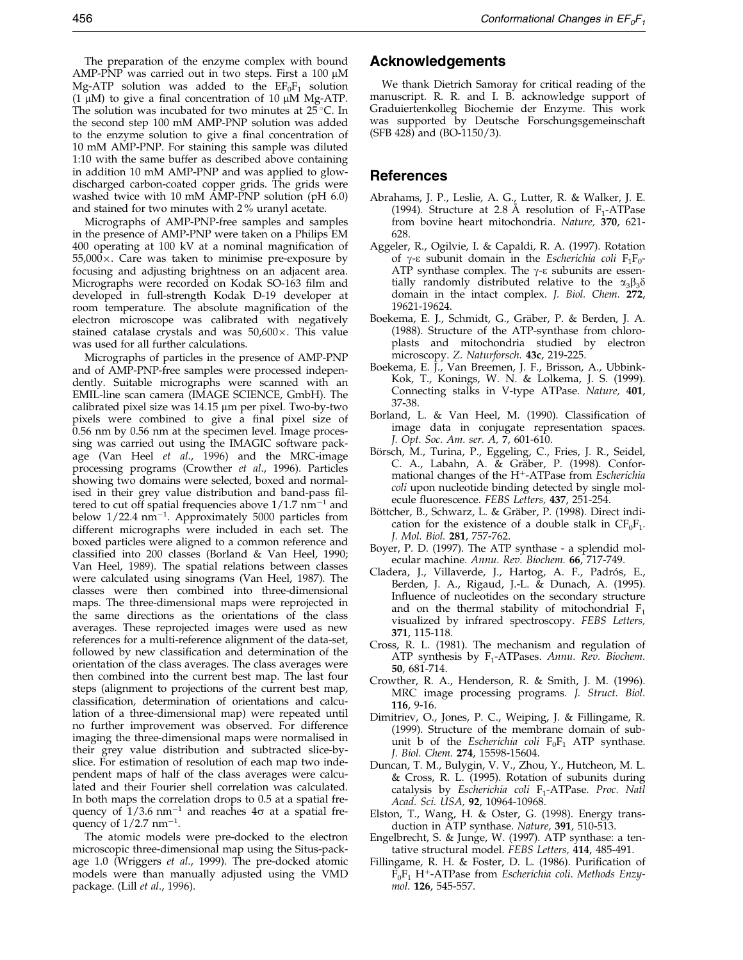<span id="page-7-0"></span>The preparation of the enzyme complex with bound AMP-PNP was carried out in two steps. First a 100  $\mu$ M Mg-ATP solution was added to the  $EF_0F_1$  solution (1  $\mu$ M) to give a final concentration of 10  $\mu$ M Mg-ATP. The solution was incubated for two minutes at  $25^{\circ}$ C. In the second step 100 mM AMP-PNP solution was added to the enzyme solution to give a final concentration of 10 mM AMP-PNP. For staining this sample was diluted 1:10 with the same buffer as described above containing in addition 10 mM AMP-PNP and was applied to glowdischarged carbon-coated copper grids. The grids were washed twice with 10 mM AMP-PNP solution (pH 6.0) and stained for two minutes with 2 % uranyl acetate.

Micrographs of AMP-PNP-free samples and samples in the presence of AMP-PNP were taken on a Philips EM 400 operating at 100 kV at a nominal magnification of 55,000  $\times$ . Care was taken to minimise pre-exposure by focusing and adjusting brightness on an adjacent area. Micrographs were recorded on Kodak SO-163 film and developed in full-strength Kodak D-19 developer at room temperature. The absolute magnification of the electron microscope was calibrated with negatively stained catalase crystals and was  $50,600 \times$ . This value was used for all further calculations.

Micrographs of particles in the presence of AMP-PNP and of AMP-PNP-free samples were processed independently. Suitable micrographs were scanned with an EMIL-line scan camera (IMAGE SCIENCE, GmbH). The calibrated pixel size was 14.15 µm per pixel. Two-by-two pixels were combined to give a final pixel size of 0.56 nm by 0.56 nm at the specimen level. Image processing was carried out using the IMAGIC software pack-age [\(Van Hee](#page-8-0)l *et al.*, 1996) and the MRC-image processing programs (Crowther et al., 1996). Particles showing two domains were selected, boxed and normalised in their grey value distribution and band-pass filtered to cut off spatial frequencies above  $1/1.7$  nm<sup>-1</sup> and below  $1/22.4$  nm<sup>-1</sup>. Approximately 5000 particles from different micrographs were included in each set. The boxed particles were aligned to a common reference and classified into 200 classes (Borland & Van Heel, 1990; [Van Heel](#page-8-0), 1989). The spatial relations between classes were calculated using sinograms [\(Van Heel](#page-8-0), 1987). The classes were then combined into three-dimensional maps. The three-dimensional maps were reprojected in the same directions as the orientations of the class averages. These reprojected images were used as new references for a multi-reference alignment of the data-set, followed by new classification and determination of the orientation of the class averages. The class averages were then combined into the current best map. The last four steps (alignment to projections of the current best map, classification, determination of orientations and calculation of a three-dimensional map) were repeated until no further improvement was observed. For difference imaging the three-dimensional maps were normalised in their grey value distribution and subtracted slice-byslice. For estimation of resolution of each map two independent maps of half of the class averages were calculated and their Fourier shell correlation was calculated. In both maps the correlation drops to 0.5 at a spatial frequency of  $1/3.6$  nm<sup>-1</sup> and reaches  $4\sigma$  at a spatial frequency of  $1/2.7$  nm<sup>-1</sup>.

The atomic models were pre-docked to the electron microscopic three-dimensional map using the Situs-package 1.0 [\(Wriggers](#page-8-0) et al., 1999). The pre-docked atomic models were than manually adjusted using the VMD package. [\(Lill](#page-8-0) et al., 1996).

# Acknowledgements

We thank Dietrich Samoray for critical reading of the manuscript. R. R. and I. B. acknowledge support of Graduiertenkolleg Biochemie der Enzyme. This work was supported by Deutsche Forschungsgemeinschaft (SFB 428) and (BO-1150/3).

#### References

- Abrahams, J. P., Leslie, A. G., Lutter, R. & Walker, J. E. (1994). Structure at 2.8 Å resolution of  $F_1$ -ATPase from bovine heart mitochondria. Nature, 370, 621- 628.
- Aggeler, R., Ogilvie, I. & Capaldi, R. A. (1997). Rotation of  $\gamma$ - $\varepsilon$  subunit domain in the *Escherichia coli*  $F_1F_0$ -ATP synthase complex. The  $\gamma$ - $\varepsilon$  subunits are essentially randomly distributed relative to the  $\alpha_3\beta_3\delta$ domain in the intact complex. J. Biol. Chem. 272, 19621-19624.
- Boekema, E. J., Schmidt, G., Gräber, P. & Berden, J. A. (1988). Structure of the ATP-synthase from chloroplasts and mitochondria studied by electron microscopy. Z. Naturforsch. 43c, 219-225.
- Boekema, E. J., Van Breemen, J. F., Brisson, A., Ubbink-Kok, T., Konings, W. N. & Lolkema, J. S. (1999). Connecting stalks in V-type ATPase. Nature, 401, 37-38.
- Borland, L. & Van Heel, M. (1990). Classification of image data in conjugate representation spaces. J. Opt. Soc. Am. ser. A, 7, 601-610.
- Börsch, M., Turina, P., Eggeling, C., Fries, J. R., Seidel, C. A., Labahn, A. & Gräber, P. (1998). Conformational changes of the  $H^+$ -ATPase from *Escherichia* coli upon nucleotide binding detected by single molecule fluorescence. FEBS Letters, 437, 251-254.
- Böttcher, B., Schwarz, L. & Gräber, P. (1998). Direct indication for the existence of a double stalk in  $CF_0F_1$ . J. Mol. Biol. 281, 757-762.
- Boyer, P. D. (1997). The ATP synthase a splendid molecular machine. Annu. Rev. Biochem. 66, 717-749.
- Cladera, J., Villaverde, J., Hartog, A. F., Padrós, E., Berden, J. A., Rigaud, J.-L. & Dunach, A. (1995). Influence of nucleotides on the secondary structure and on the thermal stability of mitochondrial  $F_1$ visualized by infrared spectroscopy. FEBS Letters, 371, 115-118.
- Cross, R. L. (1981). The mechanism and regulation of ATP synthesis by F<sub>1</sub>-ATPases. Annu. Rev. Biochem. 50, 681-714.
- Crowther, R. A., Henderson, R. & Smith, J. M. (1996). MRC image processing programs. J. Struct. Biol. 116, 9-16.
- Dimitriev, O., Jones, P. C., Weiping, J. & Fillingame, R. (1999). Structure of the membrane domain of subunit b of the *Escherichia coli*  $F_0F_1$  ATP synthase. J. Biol. Chem. 274, 15598-15604.
- Duncan, T. M., Bulygin, V. V., Zhou, Y., Hutcheon, M. L. & Cross, R. L. (1995). Rotation of subunits during catalysis by Escherichia coli  $F_1$ -ATPase. Proc. Natl Acad. Sci. USA, 92, 10964-10968.
- Elston, T., Wang, H. & Oster, G. (1998). Energy transduction in ATP synthase. Nature, 391, 510-513.
- Engelbrecht, S. & Junge, W. (1997). ATP synthase: a tentative structural model. FEBS Letters, 414, 485-491.
- Fillingame, R. H. & Foster, D. L. (1986). Purification of  $F_0F_1$  H<sup>+</sup>-ATPase from Escherichia coli. Methods Enzymol. 126, 545-557.